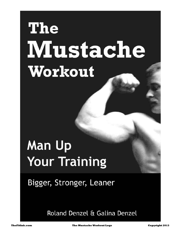# **The Mustache** Workout

# **Man Up Your Training**

Bigger, Stronger, Leaner

Roland Denzel & Galina Denzel

**TheFitInk.com Copyright 2013 The Mustache Workout Logs**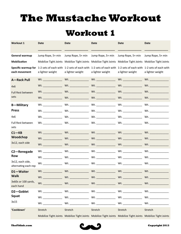# **The Mustache Workout**

#### **Workout 1**

| <b>Workout 1</b>                         | Date                            | Date                                                                                                                              | <b>Date</b>                    | Date                 | Date                |
|------------------------------------------|---------------------------------|-----------------------------------------------------------------------------------------------------------------------------------|--------------------------------|----------------------|---------------------|
| General warmup                           | Jump Rope, 5+ min               | Jump Rope, 5+ min                                                                                                                 | Jump Rope, 5+ min              | Jump Rope, 5+ min    | Jump Rope, 5+ min   |
| Mobilization                             |                                 | Mobilize Tight Joints Mobilize Tight Joints Mobilize Tight Joints Mobilize Tight Joints Mobilize Tight Joints                     |                                |                      |                     |
| Specific warmup for<br>each movement     | a lighter weight                | 1-2 sets of each with 1-2 sets of each with 1-2 sets of each with 1-2 sets of each with 1-2 sets of each with<br>a lighter weight | a lighter weight               | a lighter weight     | a lighter weight    |
| <b>A-Rack Pull</b>                       |                                 |                                                                                                                                   |                                |                      |                     |
| 4x6                                      |                                 |                                                                                                                                   |                                |                      |                     |
| <b>Full Rest between</b>                 |                                 |                                                                                                                                   | Wt. _________________          |                      | Wt.                 |
| sets                                     |                                 |                                                                                                                                   |                                | Wt. ________________ |                     |
| <b>B-Military</b>                        | Wt. <b>Whenever a structure</b> | Wt.                                                                                                                               |                                | Wt.                  |                     |
| <b>Press</b>                             |                                 | Wt. Wt.                                                                                                                           | Wt.                            | Wt. $\qquad \qquad$  |                     |
| 4x6                                      | Wt.                             | $Wt.$ ________________                                                                                                            | Wt.                            | Wt.                  | Wt.                 |
| Full Rest between<br>sets                | Wt.                             | Wt.                                                                                                                               | Wt.                            | Wt.                  |                     |
| $C1 - KB$                                |                                 |                                                                                                                                   |                                |                      | Wt. _______________ |
| Woodchop                                 |                                 |                                                                                                                                   |                                | Wt.                  | Wt.                 |
| 3x12, each side                          |                                 |                                                                                                                                   |                                |                      | Wt.                 |
| C2-Renegade                              | Wt.                             | Wt.                                                                                                                               | Wt.                            |                      | Wt.                 |
| <b>Row</b>                               | Wt. <b>Whenever a structure</b> | Wt. $\qquad \qquad$                                                                                                               | Wt.                            |                      | Wt.                 |
| 3x12, each side,<br>alternating each rep |                                 | Wt. Wt. Wt. Wt.                                                                                                                   |                                |                      | Wt.                 |
| D1-Waiter                                | Wt.                             | Wt.                                                                                                                               | Wt.                            | Wt.                  | Wt.                 |
| <b>Walk</b>                              |                                 |                                                                                                                                   |                                |                      |                     |
| 3x60s or 100 yards,<br>each hand         | Wt.                             | Wt.                                                                                                                               |                                | Wt.                  |                     |
| D2-Goblet                                | Wt.                             |                                                                                                                                   | $Wt. \underline{\hspace{2cm}}$ | Wt.                  | Wt.                 |
| Squat                                    | Wt.                             | Wt.                                                                                                                               | Wt.                            | Wt.                  | $Wt.$               |
| 3x15                                     | Wt.                             | Wt.                                                                                                                               |                                | Wt.                  |                     |
| 'Cooldown'                               | Stretch                         | Stretch                                                                                                                           | Stretch                        | Stretch              | Stretch             |

Mobilize Tight Joints Mobilize Tight Joints Mobilize Tight Joints Mobilize Tight Joints Mobilize Tight Joints

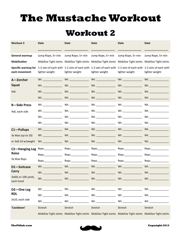# **The Mustache Workout**

#### **Workout 2**

| <b>Workout 2</b>                                 | <b>Date</b>                     | <b>Date</b>                                                                                                                     | <b>Date</b>           | <b>Date</b>          | <b>Date</b>          |
|--------------------------------------------------|---------------------------------|---------------------------------------------------------------------------------------------------------------------------------|-----------------------|----------------------|----------------------|
|                                                  |                                 |                                                                                                                                 |                       |                      |                      |
| <b>General warmup</b>                            | Jump Rope, 5+ min               | Jump Rope, 5+ min                                                                                                               | Jump Rope, 5+ min     | Jump Rope, 5+ min    | Jump Rope, 5+ min    |
| Mobilization                                     |                                 | Mobilize Tight Joints Mobilize Tight Joints Mobilize Tight Joints Mobilize Tight Joints Mobilize Tight Joints                   |                       |                      |                      |
| Specific warmup for<br>each movement             | lighter weight                  | 1-2 sets of each with 1-2 sets of each with 1-2 sets of each with 1-2 sets of each with 1-2 sets of each with<br>lighter weight | lighter weight        | lighter weight       | lighter weight       |
| A-Zercher                                        |                                 |                                                                                                                                 |                       | Wt. ________________ |                      |
| Squat                                            |                                 |                                                                                                                                 |                       | Wt.                  | Wt. $\qquad \qquad$  |
| 4x6                                              |                                 |                                                                                                                                 | Wt. ________________  |                      |                      |
|                                                  |                                 |                                                                                                                                 |                       |                      | Wt.                  |
| <b>B-Side Press</b>                              | Wt. <b>Whenever a structure</b> |                                                                                                                                 |                       |                      |                      |
| 4x6, each side                                   |                                 | $Wt.$ Wt.                                                                                                                       |                       | Wt.                  | Wt.                  |
|                                                  | Wt.                             |                                                                                                                                 |                       |                      | Wt.                  |
|                                                  |                                 |                                                                                                                                 |                       |                      |                      |
| C1-Pullups                                       | $Wt.$ $\qquad \qquad$           |                                                                                                                                 |                       |                      | Wt.                  |
| $3x$ Max (up to 10)                              |                                 |                                                                                                                                 |                       |                      | Wt. ________________ |
| or 3x8-10 w/weight                               |                                 |                                                                                                                                 |                       | Wt.                  | Wt.                  |
|                                                  | C2-Hanging Leg Reps.            | Reps._______________                                                                                                            | Reps._______________  | Reps._______________ | Reps.                |
| Raise                                            | Reps.                           | Reps._______________                                                                                                            | Reps.______________   | Reps.______________  |                      |
| 3x Max Reps                                      | Reps._______________            | Reps.______________                                                                                                             | Reps.________________ | Reps._______________ |                      |
| D1-Suitcase                                      |                                 | Wt.                                                                                                                             | Wt. _______________   | Wt.                  | Wt.                  |
| <b>Carry</b><br>3x60s or 100 yards,<br>each hand | W <sub>t</sub>                  | Wt.                                                                                                                             | Wt.                   | Wt.                  | Wt.                  |
|                                                  | Wt. ____________                |                                                                                                                                 |                       |                      |                      |
| D <sub>2</sub> -One Leg                          | Wt.                             |                                                                                                                                 | $Wt.$ Wt.             | Wt.                  |                      |
| <b>RDL</b>                                       | Wt. ________________            |                                                                                                                                 |                       |                      |                      |
| 3x10, each side                                  | Wt.                             | Wt.                                                                                                                             | Wt.                   | Wt.                  | Wt.                  |
| 'Cooldown'                                       | Stretch                         | Stretch                                                                                                                         | Stretch               | Stretch              | Stretch              |
|                                                  |                                 | Mobilize Tight Joints Mobilize Tight Joints Mobilize Tight Joints Mobilize Tight Joints Mobilize Tight Joints                   |                       |                      |                      |